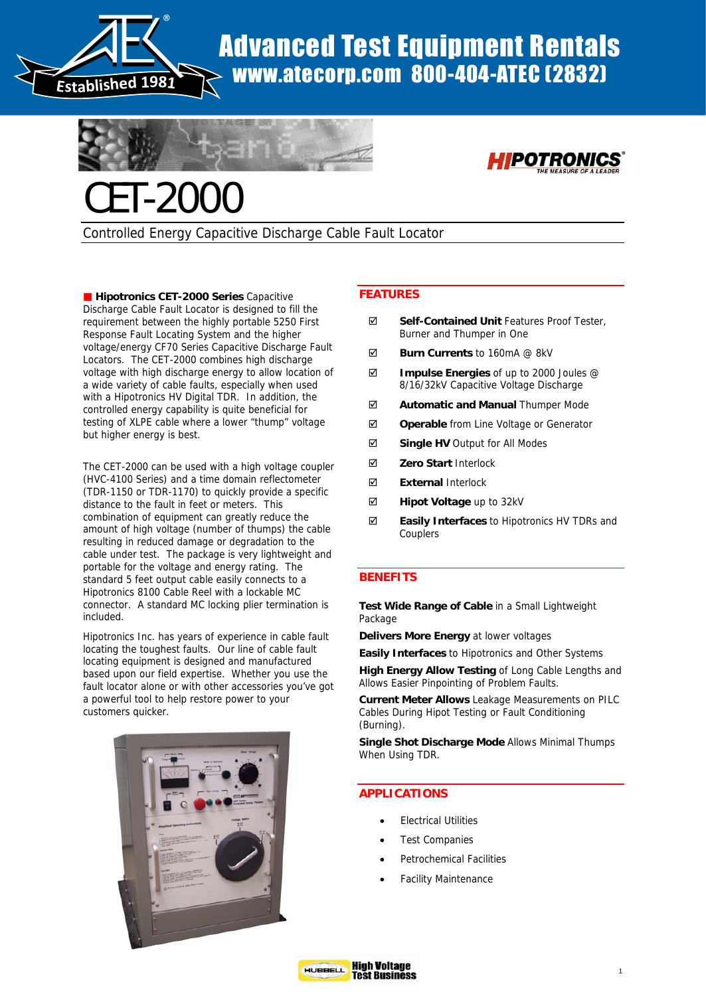

# Advanced Test Equipment Rentals www.atecorp.com 800-404-ATEC (2832)





Controlled Energy Capacitive Discharge Cable Fault Locator

**Hipotronics CET-2000 Series Capacitive** Discharge Cable Fault Locator is designed to fill the requirement between the highly portable 5250 First Response Fault Locating System and the higher voltage/energy CF70 Series Capacitive Discharge Fault Locators. The CET-2000 combines high discharge voltage with high discharge energy to allow location of a wide variety of cable faults, especially when used with a Hipotronics HV Digital TDR. In addition, the controlled energy capability is quite beneficial for testing of XLPE cable where a lower "thump" voltage but higher energy is best.

The CET-2000 can be used with a high voltage coupler (HVC-4100 Series) and a time domain reflectometer (TDR-1150 or TDR-1170) to quickly provide a specific distance to the fault in feet or meters. This combination of equipment can greatly reduce the amount of high voltage (number of thumps) the cable resulting in reduced damage or degradation to the cable under test. The package is very lightweight and portable for the voltage and energy rating. The standard 5 feet output cable easily connects to a Hipotronics 8100 Cable Reel with a lockable MC connector. A standard MC locking plier termination is included.

Hipotronics Inc. has years of experience in cable fault locating the toughest faults. Our line of cable fault locating equipment is designed and manufactured based upon our field expertise. Whether you use the fault locator alone or with other accessories you've got a powerful tool to help restore power to your customers quicker.



## **FEATURES**

- ; **Self-Contained Unit** Features Proof Tester, Burner and Thumper in One
- ; **Burn Currents** to 160mA @ 8kV
- ; **Impulse Energies** of up to 2000 Joules @ 8/16/32kV Capacitive Voltage Discharge
- ; **Automatic and Manual** Thumper Mode
- ; **Operable** from Line Voltage or Generator
- ; **Single HV** Output for All Modes
- ; **Zero Start** Interlock
- ; **External** Interlock
- ; **Hipot Voltage** up to 32kV
- ; **Easily Interfaces** to Hipotronics HV TDRs and **Couplers**

## **BENEFITS**

**Test Wide Range of Cable** in a Small Lightweight Package

**Delivers More Energy** at lower voltages

**Easily Interfaces** to Hipotronics and Other Systems

**High Energy Allow Testing** of Long Cable Lengths and Allows Easier Pinpointing of Problem Faults.

**Current Meter Allows** Leakage Measurements on PILC Cables During Hipot Testing or Fault Conditioning (Burning).

**Single Shot Discharge Mode** Allows Minimal Thumps When Using TDR.

## **APPLICATIONS**

- **Electrical Utilities**
- **Test Companies**
- Petrochemical Facilities
- Facility Maintenance